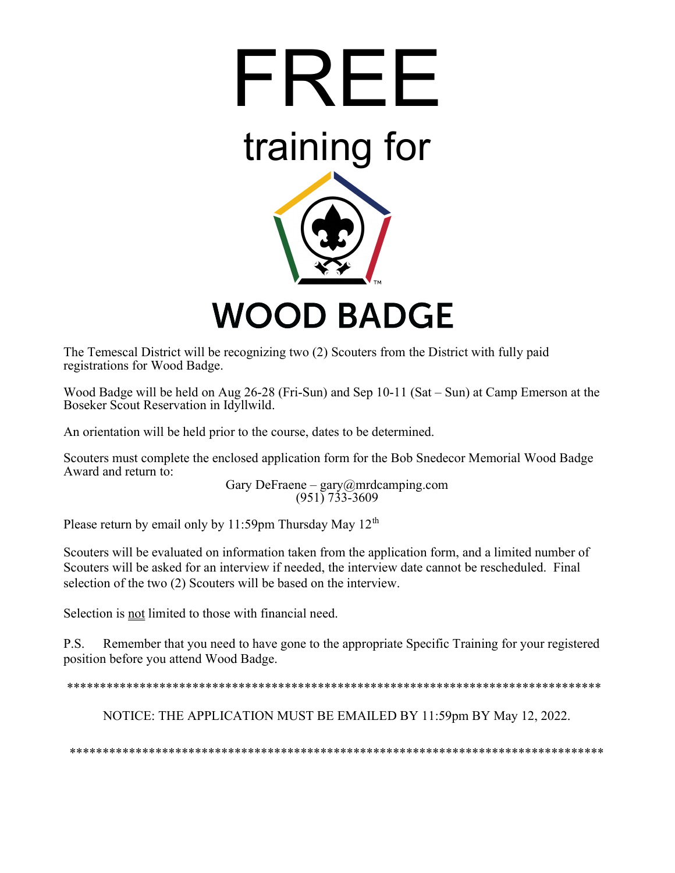

The Temescal District will be recognizing two (2) Scouters from the District with fully paid registrations for Wood Badge.

Wood Badge will be held on Aug  $26-28$  (Fri-Sun) and Sep 10-11 (Sat – Sun) at Camp Emerson at the Boseker Scout Reservation in Idyllwild.

An orientation will be held prior to the course, dates to be determined.

Scouters must complete the enclosed application form for the Bob Snedecor Memorial Wood Badge Award and return to:

Gary DeFraene – gary@mrdcamping.com  $(951) 733 - 3609$ 

Please return by email only by 11:59pm Thursday May  $12<sup>th</sup>$ 

Scouters will be evaluated on information taken from the application form, and a limited number of Scouters will be asked for an interview if needed, the interview date cannot be rescheduled. Final selection of the two (2) Scouters will be based on the interview.

Selection is not limited to those with financial need.

Remember that you need to have gone to the appropriate Specific Training for your registered P.S. position before you attend Wood Badge.

NOTICE: THE APPLICATION MUST BE EMAILED BY 11:59pm BY May 12, 2022.